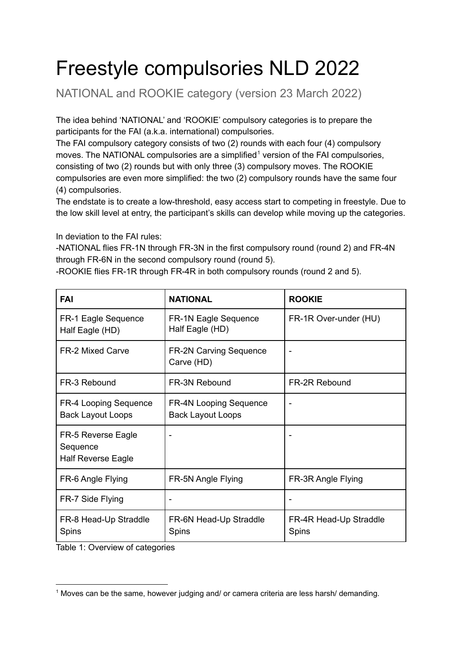# Freestyle compulsories NLD 2022

NATIONAL and ROOKIE category (version 23 March 2022)

The idea behind 'NATIONAL' and 'ROOKIE' compulsory categories is to prepare the participants for the FAI (a.k.a. international) compulsories.

The FAI compulsory category consists of two (2) rounds with each four (4) compulsory moves. The NATIONAL compulsories are a simplified<sup>1</sup> version of the FAI compulsories, consisting of two (2) rounds but with only three (3) compulsory moves. The ROOKIE compulsories are even more simplified: the two (2) compulsory rounds have the same four (4) compulsories.

The endstate is to create a low-threshold, easy access start to competing in freestyle. Due to the low skill level at entry, the participant's skills can develop while moving up the categories.

In deviation to the FAI rules:

-NATIONAL flies FR-1N through FR-3N in the first compulsory round (round 2) and FR-4N through FR-6N in the second compulsory round (round 5).

| -ROOKIE flies FR-1R through FR-4R in both compulsory rounds (round 2 and 5). |  |  |
|------------------------------------------------------------------------------|--|--|
|                                                                              |  |  |

| <b>FAI</b>                                                  | <b>NATIONAL</b>                                           | <b>ROOKIE</b>                   |
|-------------------------------------------------------------|-----------------------------------------------------------|---------------------------------|
| FR-1 Eagle Sequence<br>Half Eagle (HD)                      | FR-1N Eagle Sequence<br>Half Eagle (HD)                   | FR-1R Over-under (HU)           |
| <b>FR-2 Mixed Carve</b>                                     | <b>FR-2N Carving Sequence</b><br>Carve (HD)               |                                 |
| FR-3 Rebound                                                | FR-3N Rebound                                             | <b>FR-2R Rebound</b>            |
| <b>FR-4 Looping Sequence</b><br><b>Back Layout Loops</b>    | <b>FR-4N Looping Sequence</b><br><b>Back Layout Loops</b> |                                 |
| FR-5 Reverse Eagle<br>Sequence<br><b>Half Reverse Eagle</b> |                                                           |                                 |
| FR-6 Angle Flying                                           | FR-5N Angle Flying                                        | FR-3R Angle Flying              |
| FR-7 Side Flying                                            | $\overline{\phantom{a}}$                                  |                                 |
| FR-8 Head-Up Straddle<br>Spins                              | FR-6N Head-Up Straddle<br>Spins                           | FR-4R Head-Up Straddle<br>Spins |

Table 1: Overview of categories

<sup>&</sup>lt;sup>1</sup> Moves can be the same, however judging and/ or camera criteria are less harsh/ demanding.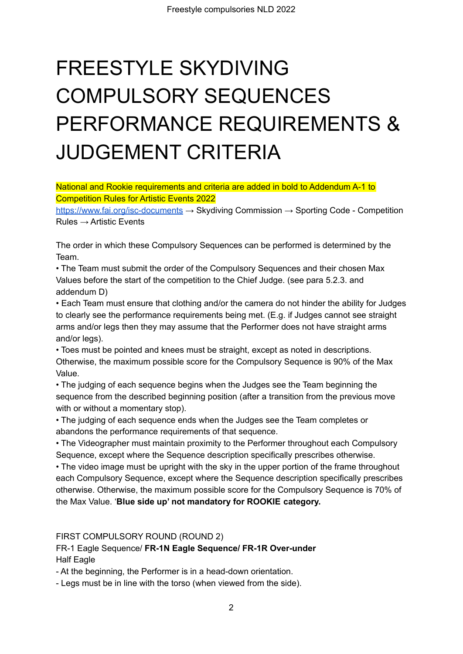# FREESTYLE SKYDIVING COMPULSORY SEQUENCES PERFORMANCE REQUIREMENTS & JUDGEMENT CRITERIA

National and Rookie requirements and criteria are added in bold to Addendum A-1 to Competition Rules for Artistic Events 2022

<https://www.fai.org/isc-documents> → Skydiving Commission → Sporting Code - Competition  $Rules \rightarrow$  Artistic Events

The order in which these Compulsory Sequences can be performed is determined by the Team.

• The Team must submit the order of the Compulsory Sequences and their chosen Max Values before the start of the competition to the Chief Judge. (see para 5.2.3. and addendum D)

• Each Team must ensure that clothing and/or the camera do not hinder the ability for Judges to clearly see the performance requirements being met. (E.g. if Judges cannot see straight arms and/or legs then they may assume that the Performer does not have straight arms and/or legs).

• Toes must be pointed and knees must be straight, except as noted in descriptions. Otherwise, the maximum possible score for the Compulsory Sequence is 90% of the Max Value.

• The judging of each sequence begins when the Judges see the Team beginning the sequence from the described beginning position (after a transition from the previous move with or without a momentary stop).

• The judging of each sequence ends when the Judges see the Team completes or abandons the performance requirements of that sequence.

• The Videographer must maintain proximity to the Performer throughout each Compulsory Sequence, except where the Sequence description specifically prescribes otherwise.

• The video image must be upright with the sky in the upper portion of the frame throughout each Compulsory Sequence, except where the Sequence description specifically prescribes otherwise. Otherwise, the maximum possible score for the Compulsory Sequence is 70% of the Max Value. '**Blue side up' not mandatory for ROOKIE category.**

FIRST COMPULSORY ROUND (ROUND 2)

FR-1 Eagle Sequence/ **FR-1N Eagle Sequence/ FR-1R Over-under** Half Eagle

- At the beginning, the Performer is in a head-down orientation.

- Legs must be in line with the torso (when viewed from the side).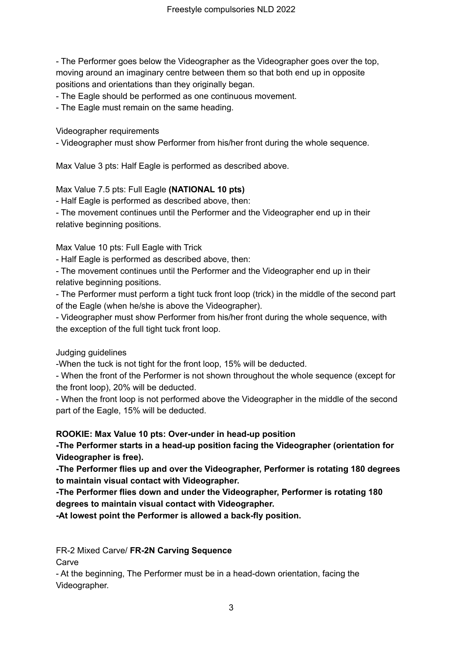- The Performer goes below the Videographer as the Videographer goes over the top, moving around an imaginary centre between them so that both end up in opposite positions and orientations than they originally began.

- The Eagle should be performed as one continuous movement.

- The Eagle must remain on the same heading.

Videographer requirements

- Videographer must show Performer from his/her front during the whole sequence.

Max Value 3 pts: Half Eagle is performed as described above.

#### Max Value 7.5 pts: Full Eagle **(NATIONAL 10 pts)**

- Half Eagle is performed as described above, then:

- The movement continues until the Performer and the Videographer end up in their relative beginning positions.

Max Value 10 pts: Full Eagle with Trick

- Half Eagle is performed as described above, then:

- The movement continues until the Performer and the Videographer end up in their relative beginning positions.

- The Performer must perform a tight tuck front loop (trick) in the middle of the second part of the Eagle (when he/she is above the Videographer).

- Videographer must show Performer from his/her front during the whole sequence, with the exception of the full tight tuck front loop.

Judging guidelines

-When the tuck is not tight for the front loop, 15% will be deducted.

- When the front of the Performer is not shown throughout the whole sequence (except for the front loop), 20% will be deducted.

- When the front loop is not performed above the Videographer in the middle of the second part of the Eagle, 15% will be deducted.

**ROOKIE: Max Value 10 pts: Over-under in head-up position**

**-The Performer starts in a head-up position facing the Videographer (orientation for Videographer is free).**

**-The Performer flies up and over the Videographer, Performer is rotating 180 degrees to maintain visual contact with Videographer.**

**-The Performer flies down and under the Videographer, Performer is rotating 180 degrees to maintain visual contact with Videographer.**

**-At lowest point the Performer is allowed a back-fly position.**

FR-2 Mixed Carve/ **FR-2N Carving Sequence**

**Carve** 

- At the beginning, The Performer must be in a head-down orientation, facing the Videographer.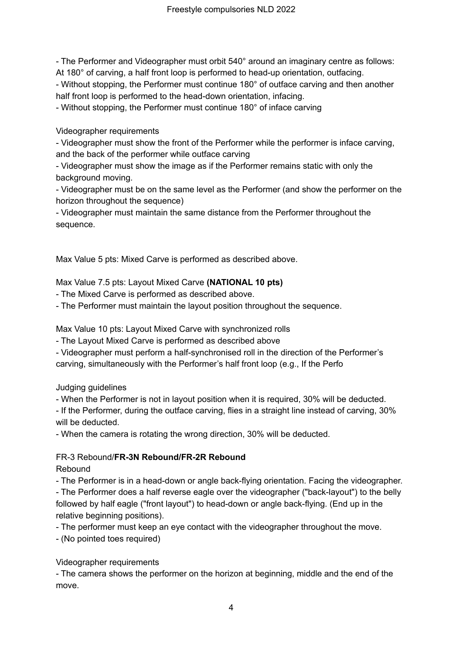- The Performer and Videographer must orbit 540° around an imaginary centre as follows: At 180° of carving, a half front loop is performed to head-up orientation, outfacing.

- Without stopping, the Performer must continue 180° of outface carving and then another half front loop is performed to the head-down orientation, infacing.

- Without stopping, the Performer must continue 180° of inface carving

Videographer requirements

- Videographer must show the front of the Performer while the performer is inface carving, and the back of the performer while outface carving

- Videographer must show the image as if the Performer remains static with only the background moving.

- Videographer must be on the same level as the Performer (and show the performer on the horizon throughout the sequence)

- Videographer must maintain the same distance from the Performer throughout the sequence.

Max Value 5 pts: Mixed Carve is performed as described above.

Max Value 7.5 pts: Layout Mixed Carve **(NATIONAL 10 pts)**

- The Mixed Carve is performed as described above.

- The Performer must maintain the layout position throughout the sequence.

Max Value 10 pts: Layout Mixed Carve with synchronized rolls

- The Layout Mixed Carve is performed as described above

- Videographer must perform a half-synchronised roll in the direction of the Performer's carving, simultaneously with the Performer's half front loop (e.g., If the Perfo

Judging guidelines

- When the Performer is not in layout position when it is required, 30% will be deducted.

- If the Performer, during the outface carving, flies in a straight line instead of carving, 30% will be deducted.

- When the camera is rotating the wrong direction, 30% will be deducted.

## FR-3 Rebound/**FR-3N Rebound/FR-2R Rebound**

Rebound

- The Performer is in a head-down or angle back-flying orientation. Facing the videographer. - The Performer does a half reverse eagle over the videographer ("back-layout") to the belly followed by half eagle ("front layout") to head-down or angle back-flying. (End up in the relative beginning positions).

- The performer must keep an eye contact with the videographer throughout the move.

- (No pointed toes required)

## Videographer requirements

- The camera shows the performer on the horizon at beginning, middle and the end of the move.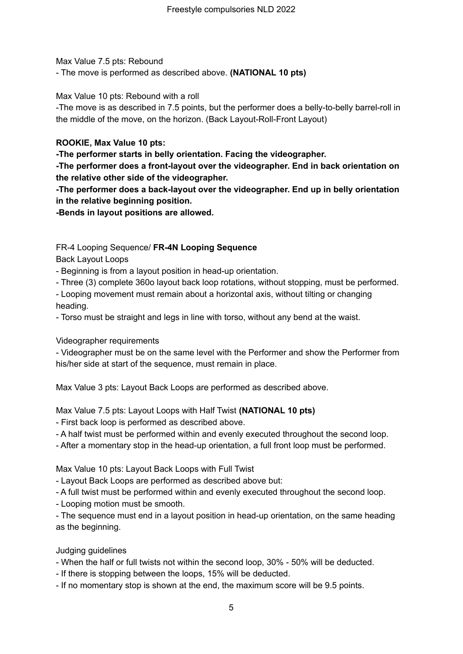Max Value 7.5 pts: Rebound

- The move is performed as described above. **(NATIONAL 10 pts)**

Max Value 10 pts: Rebound with a roll

-The move is as described in 7.5 points, but the performer does a belly-to-belly barrel-roll in the middle of the move, on the horizon. (Back Layout-Roll-Front Layout)

#### **ROOKIE, Max Value 10 pts:**

**-The performer starts in belly orientation. Facing the videographer.**

**-The performer does a front-layout over the videographer. End in back orientation on the relative other side of the videographer.**

**-The performer does a back-layout over the videographer. End up in belly orientation in the relative beginning position.**

**-Bends in layout positions are allowed.**

FR-4 Looping Sequence/ **FR-4N Looping Sequence**

Back Layout Loops

- Beginning is from a layout position in head-up orientation.

- Three (3) complete 360o layout back loop rotations, without stopping, must be performed.

- Looping movement must remain about a horizontal axis, without tilting or changing heading.

- Torso must be straight and legs in line with torso, without any bend at the waist.

Videographer requirements

- Videographer must be on the same level with the Performer and show the Performer from his/her side at start of the sequence, must remain in place.

Max Value 3 pts: Layout Back Loops are performed as described above.

Max Value 7.5 pts: Layout Loops with Half Twist **(NATIONAL 10 pts)**

- First back loop is performed as described above.

- A half twist must be performed within and evenly executed throughout the second loop.

- After a momentary stop in the head-up orientation, a full front loop must be performed.

Max Value 10 pts: Layout Back Loops with Full Twist

- Layout Back Loops are performed as described above but:

- A full twist must be performed within and evenly executed throughout the second loop.

- Looping motion must be smooth.

- The sequence must end in a layout position in head-up orientation, on the same heading as the beginning.

Judging guidelines

- When the half or full twists not within the second loop, 30% - 50% will be deducted.

- If there is stopping between the loops, 15% will be deducted.

- If no momentary stop is shown at the end, the maximum score will be 9.5 points.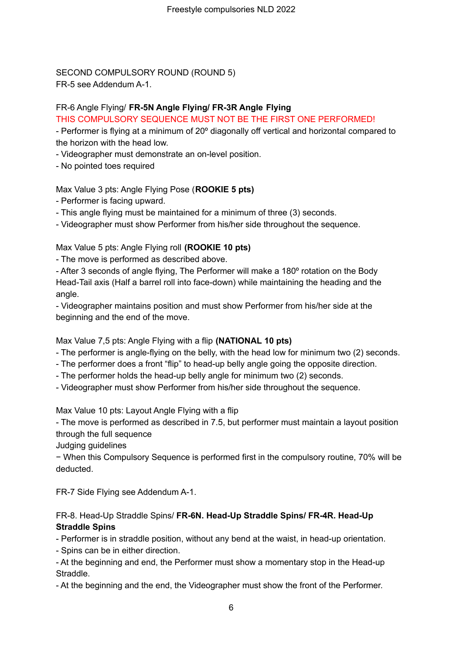SECOND COMPULSORY ROUND (ROUND 5) FR-5 see Addendum A-1.

#### FR-6 Angle Flying/ **FR-5N Angle Flying/ FR-3R Angle Flying**

THIS COMPULSORY SEQUENCE MUST NOT BE THE FIRST ONE PERFORMED!

- Performer is flying at a minimum of 20º diagonally off vertical and horizontal compared to the horizon with the head low.

- Videographer must demonstrate an on-level position.

- No pointed toes required

Max Value 3 pts: Angle Flying Pose (**ROOKIE 5 pts)**

- Performer is facing upward.

- This angle flying must be maintained for a minimum of three (3) seconds.

- Videographer must show Performer from his/her side throughout the sequence.

Max Value 5 pts: Angle Flying roll **(ROOKIE 10 pts)**

- The move is performed as described above.

- After 3 seconds of angle flying, The Performer will make a 180º rotation on the Body Head-Tail axis (Half a barrel roll into face-down) while maintaining the heading and the angle.

- Videographer maintains position and must show Performer from his/her side at the beginning and the end of the move.

Max Value 7,5 pts: Angle Flying with a flip **(NATIONAL 10 pts)**

- The performer is angle-flying on the belly, with the head low for minimum two (2) seconds.

- The performer does a front "flip" to head-up belly angle going the opposite direction.
- The performer holds the head-up belly angle for minimum two (2) seconds.

- Videographer must show Performer from his/her side throughout the sequence.

Max Value 10 pts: Layout Angle Flying with a flip

- The move is performed as described in 7.5, but performer must maintain a layout position through the full sequence

Judging guidelines

− When this Compulsory Sequence is performed first in the compulsory routine, 70% will be deducted.

FR-7 Side Flying see Addendum A-1.

#### FR-8. Head-Up Straddle Spins/ **FR-6N. Head-Up Straddle Spins/ FR-4R. Head-Up Straddle Spins**

- Performer is in straddle position, without any bend at the waist, in head-up orientation.

- Spins can be in either direction.

- At the beginning and end, the Performer must show a momentary stop in the Head-up Straddle.

- At the beginning and the end, the Videographer must show the front of the Performer.